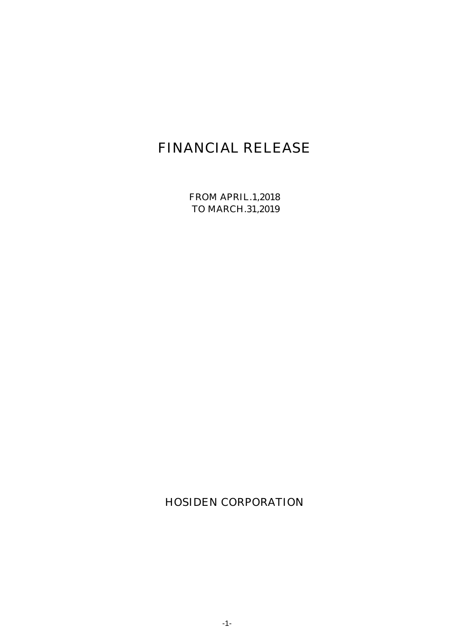# FINANCIAL RELEASE

FROM APRIL.1,2018 TO MARCH.31,2019

HOSIDEN CORPORATION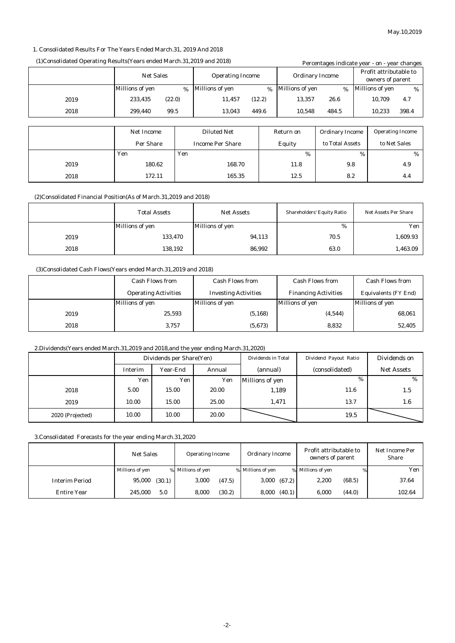#### 1. Consolidated Results For The Years Ended March.31, 2019 And 2018

#### (1)Consolidated Operating Results(Years ended March.31.2019 and 2018) Percentages indicate year - on - year change

| $(1)$ Consonauteu Operating Ivesuns $(1)$ ans enacu mai ensiyo io anu woro $\theta$ |                   |                         |                         |        |                        | Percentages indicate year - on - year changes |      |                                            |       |
|-------------------------------------------------------------------------------------|-------------------|-------------------------|-------------------------|--------|------------------------|-----------------------------------------------|------|--------------------------------------------|-------|
|                                                                                     | <b>Net Sales</b>  | <b>Operating Income</b> |                         |        | <b>Ordinary Income</b> |                                               |      | Profit attributable to<br>owners of parent |       |
|                                                                                     | Millions of yen   | %                       | <b>Millions of yen</b>  | %      | <b>Millions of yen</b> | $\%$                                          |      | <b>Millions of yen</b>                     | $\%$  |
| 2019                                                                                | (22.0)<br>233.435 |                         | 11,457                  | (12.2) | 13.357                 | 26.6                                          |      | 10.709                                     | 4.7   |
| 2018                                                                                | 99.5<br>299.440   |                         | 13.043                  | 449.6  | 10,548                 | 484.5                                         |      | 10,233                                     | 398.4 |
|                                                                                     |                   |                         |                         |        |                        |                                               |      |                                            |       |
|                                                                                     | <b>Net Income</b> |                         | <b>Diluted Net</b>      |        | Return on              | <b>Ordinary Income</b>                        |      | <b>Operating Income</b>                    |       |
|                                                                                     | Per Share         |                         | <b>Income Per Share</b> |        | Equity                 | to Total Assets                               |      | to Net Sales                               |       |
|                                                                                     | Yen               | Yen                     |                         |        | %                      |                                               | $\%$ |                                            | %     |
| 2019                                                                                | 180.62            |                         | 168.70                  |        | 11.8                   | 9.8                                           |      |                                            | 4.9   |
| 2018                                                                                | 172.11            |                         | 165.35                  |        | 12.5                   | 8.2                                           |      |                                            | 4.4   |

(2)Consolidated Financial Position(As of March.31,2019 and 2018)

|      | <b>Total Assets</b> | <b>Net Assets</b> | <b>Shareholders' Equity Ratio</b> | <b>Net Assets Per Share</b> |
|------|---------------------|-------------------|-----------------------------------|-----------------------------|
|      | Millions of yen     | Millions of yen   | %                                 | Yen                         |
| 2019 | 133,470             | 94,113            | 70.5                              | 1,609.93                    |
| 2018 | 138,192             | 86,992            | 63.0                              | 1,463.09                    |

#### (3)Consolidated Cash Flows(Years ended March.31,2019 and 2018)

|      | <b>Cash Flows from</b>      | <b>Cash Flows from</b>      | <b>Cash Flows from</b>      | <b>Cash Flows from</b>      |
|------|-----------------------------|-----------------------------|-----------------------------|-----------------------------|
|      | <b>Operating Activities</b> | <b>Investing Activities</b> | <b>Financing Activities</b> | <b>Equivalents (FY End)</b> |
|      | Millions of yen             | Millions of yen             | Millions of yen             | <b>Millions of yen</b>      |
| 2019 | 25,593                      | (5, 168)                    | (4,544)                     | 68,061                      |
| 2018 | 3,757                       | (5,673)                     | 8.832                       | 52,405                      |

#### 2.Dividends(Years ended March.31,2019 and 2018,and the year ending March.31,2020)

|                  | Dividends per Share(Yen) |          | Dividends in Total | Dividend Payout Ratio | Dividends on   |                   |
|------------------|--------------------------|----------|--------------------|-----------------------|----------------|-------------------|
|                  | Interim                  | Year-End | Annual             | (annual)              | (consolidated) | <b>Net Assets</b> |
|                  | Yen                      | Yen      | Yen                | Millions of yen       | %              | %                 |
| 2018             | 5.00                     | 15.00    | 20.00              | 1,189                 | 11.6           | 1.5               |
| 2019             | 10.00                    | 15.00    | 25.00              | 1.471                 | 13.7           | 1.6               |
| 2020 (Projected) | 10.00                    | 10.00    | 20.00              |                       | 19.5           |                   |

3.Consolidated Forecasts for the year ending March.31,2020

|                       | <b>Net Sales</b> | <b>Operating Income</b> | Ordinary Income   | Profit attributable to<br>owners of parent | Net Income Per<br><b>Share</b> |
|-----------------------|------------------|-------------------------|-------------------|--------------------------------------------|--------------------------------|
|                       | Millions of yen  | % Millions of yen       | % Millions of yen | % Millions of yen<br>%                     | Yen                            |
| <b>Interim Period</b> | 95,000<br>(30.1) | 3,000<br>(47.5)         | 3,000(67.2)       | 2.200<br>(68.5)                            | 37.64                          |
| <b>Entire Year</b>    | 245.000<br>5.0   | 8,000<br>(30.2)         | 8,000<br>(40.1)   | (44.0)<br>6.000                            | 102.64                         |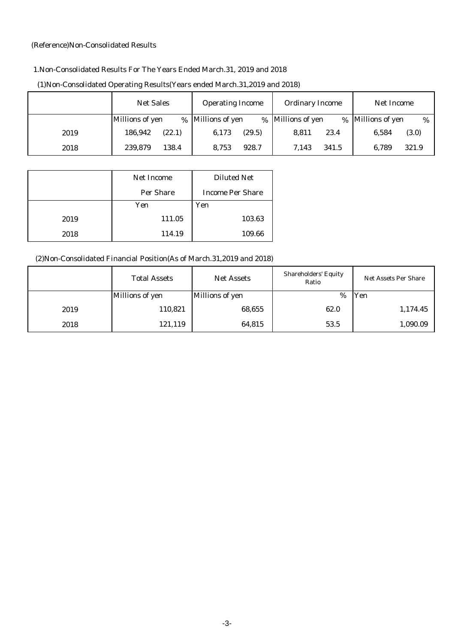#### (Reference)Non-Consolidated Results

#### 1.Non-Consolidated Results For The Years Ended March.31, 2019 and 2018

|      | <b>Net Sales</b> | <b>Operating Income</b> | <b>Ordinary Income</b>    | Net Income              |
|------|------------------|-------------------------|---------------------------|-------------------------|
|      | Millions of yen  | % Millions of yen       | % Millions of yen<br>$\%$ | Millions of yen<br>$\%$ |
| 2019 | (22.1)           | 6,173                   | 23.4                      | 6,584                   |
|      | 186,942          | (29.5)                  | 8.811                     | (3.0)                   |
| 2018 | 239,879          | 928.7                   | 341.5                     | 321.9                   |
|      | 138.4            | 8,753                   | 7.143                     | 6,789                   |

#### (1)Non-Consolidated Operating Results(Years ended March.31,2019 and 2018)

|      | <b>Net Income</b> | <b>Diluted Net</b>      |
|------|-------------------|-------------------------|
|      | Per Share         | <b>Income Per Share</b> |
|      | Yen               | Yen                     |
| 2019 | 111.05            | 103.63                  |
| 2018 | 114.19            | 109.66                  |

## (2)Non-Consolidated Financial Position(As of March.31,2019 and 2018)

|      | <b>Total Assets</b> | <b>Net Assets</b> | <b>Shareholders' Equity</b><br>Ratio | <b>Net Assets Per Share</b> |
|------|---------------------|-------------------|--------------------------------------|-----------------------------|
|      | Millions of yen     | Millions of yen   | $\%$                                 | Yen                         |
| 2019 | 110,821             | 68,655            | 62.0                                 | 1,174.45                    |
| 2018 | 121,119             | 64,815            | 53.5                                 | 1,090.09                    |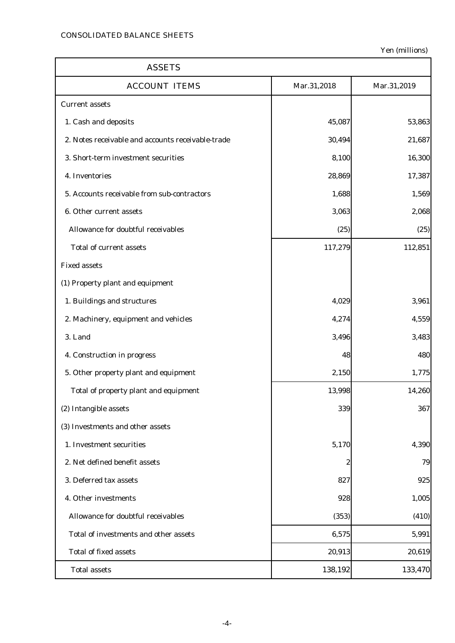| <b>ASSETS</b>                                     |                  |             |
|---------------------------------------------------|------------------|-------------|
| <b>ACCOUNT ITEMS</b>                              | Mar.31,2018      | Mar.31,2019 |
| <b>Current assets</b>                             |                  |             |
| 1. Cash and deposits                              | 45,087           | 53,863      |
| 2. Notes receivable and accounts receivable-trade | 30,494           | 21,687      |
| 3. Short-term investment securities               | 8,100            | 16,300      |
| 4. Inventories                                    | 28,869           | 17,387      |
| 5. Accounts receivable from sub-contractors       | 1,688            | 1,569       |
| 6. Other current assets                           | 3,063            | 2,068       |
| Allowance for doubtful receivables                | (25)             | (25)        |
| <b>Total of current assets</b>                    | 117,279          | 112,851     |
| <b>Fixed assets</b>                               |                  |             |
| (1) Property plant and equipment                  |                  |             |
| 1. Buildings and structures                       | 4,029            | 3,961       |
| 2. Machinery, equipment and vehicles              | 4,274            | 4,559       |
| 3. Land                                           | 3,496            | 3,483       |
| 4. Construction in progress                       | 48               | 480         |
| 5. Other property plant and equipment             | 2,150            | 1,775       |
| Total of property plant and equipment             | 13,998           | 14,260      |
| (2) Intangible assets                             | 339              | 367         |
| (3) Investments and other assets                  |                  |             |
| 1. Investment securities                          | 5,170            | 4,390       |
| 2. Net defined benefit assets                     | $\boldsymbol{2}$ | 79          |
| 3. Deferred tax assets                            | 827              | 925         |
| 4. Other investments                              | 928              | 1,005       |
| Allowance for doubtful receivables                | (353)            | (410)       |
| Total of investments and other assets             | 6,575            | 5,991       |
| <b>Total of fixed assets</b>                      | 20,913           | 20,619      |
| <b>Total assets</b>                               | 138,192          | 133,470     |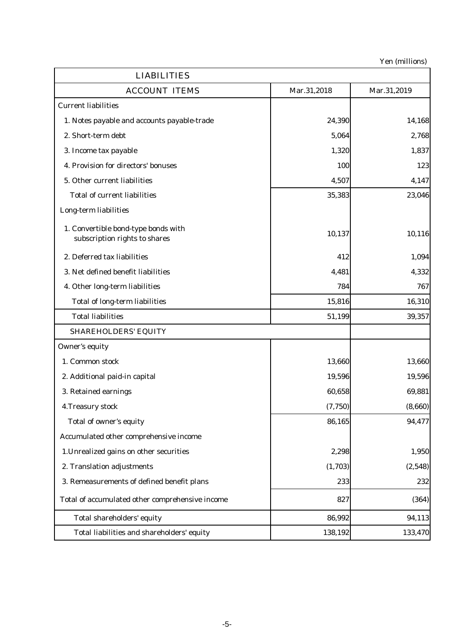| <b>LIABILITIES</b>                                                   |             |             |
|----------------------------------------------------------------------|-------------|-------------|
| <b>ACCOUNT ITEMS</b>                                                 | Mar.31,2018 | Mar.31,2019 |
| <b>Current liabilities</b>                                           |             |             |
| 1. Notes payable and accounts payable-trade                          | 24,390      | 14,168      |
| 2. Short-term debt                                                   | 5,064       | 2,768       |
| 3. Income tax payable                                                | 1,320       | 1,837       |
| 4. Provision for directors' bonuses                                  | 100         | 123         |
| 5. Other current liabilities                                         | 4,507       | 4,147       |
| <b>Total of current liabilities</b>                                  | 35,383      | 23,046      |
| Long-term liabilities                                                |             |             |
| 1. Convertible bond-type bonds with<br>subscription rights to shares | 10,137      | 10,116      |
| 2. Deferred tax liabilities                                          | 412         | 1,094       |
| 3. Net defined benefit liabilities                                   | 4,481       | 4,332       |
| 4. Other long-term liabilities                                       | 784         | 767         |
| <b>Total of long-term liabilities</b>                                | 15,816      | 16,310      |
| <b>Total liabilities</b>                                             | 51,199      | 39,357      |
| <b>SHAREHOLDERS' EQUITY</b>                                          |             |             |
| <b>Owner's equity</b>                                                |             |             |
| 1. Common stock                                                      | 13,660      | 13,660      |
| 2. Additional paid-in capital                                        | 19,596      | 19,596      |
| 3. Retained earnings                                                 | 60,658      | 69,881      |
| 4. Treasury stock                                                    | (7,750)     | (8,660)     |
| Total of owner's equity                                              | 86,165      | 94,477      |
| Accumulated other comprehensive income                               |             |             |
| 1. Unrealized gains on other securities                              | 2,298       | 1,950       |
| 2. Translation adjustments                                           | (1,703)     | (2,548)     |
| 3. Remeasurements of defined benefit plans                           | 233         | 232         |
| Total of accumulated other comprehensive income                      | 827         | (364)       |
| Total shareholders' equity                                           | 86,992      | 94,113      |
| Total liabilities and shareholders' equity                           | 138,192     | 133,470     |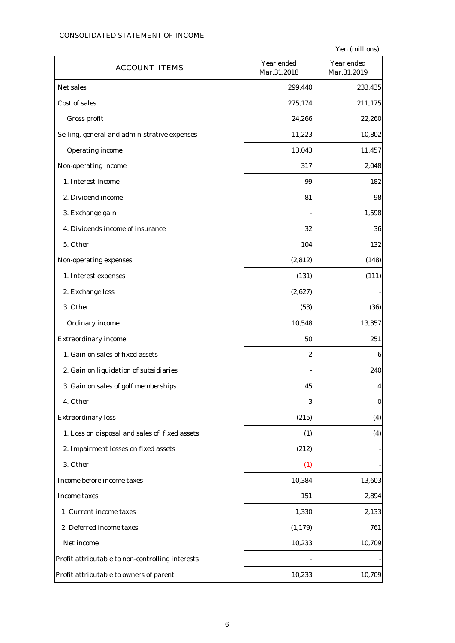#### CONSOLIDATED STATEMENT OF INCOME

| <b>ACCOUNT ITEMS</b>                             | Year ended<br>Mar.31,2018 | Year ended<br>Mar.31,2019 |
|--------------------------------------------------|---------------------------|---------------------------|
| Net sales                                        | 299,440                   | 233,435                   |
| Cost of sales                                    | 275,174                   | 211,175                   |
| Gross profit                                     | 24,266                    | 22,260                    |
| Selling, general and administrative expenses     | 11,223                    | 10,802                    |
| <b>Operating income</b>                          | 13,043                    | 11,457                    |
| Non-operating income                             | 317                       | 2,048                     |
| 1. Interest income                               | 99                        | 182                       |
| 2. Dividend income                               | 81                        | 98                        |
| 3. Exchange gain                                 |                           | 1,598                     |
| 4. Dividends income of insurance                 | 32                        | 36                        |
| 5. Other                                         | 104                       | 132                       |
| Non-operating expenses                           | (2, 812)                  | (148)                     |
| 1. Interest expenses                             | (131)                     | (111)                     |
| 2. Exchange loss                                 | (2,627)                   |                           |
| 3. Other                                         | (53)                      | (36)                      |
| <b>Ordinary income</b>                           | 10,548                    | 13,357                    |
| <b>Extraordinary income</b>                      | 50                        | 251                       |
| 1. Gain on sales of fixed assets                 | 2                         | 6                         |
| 2. Gain on liquidation of subsidiaries           |                           | 240                       |
| 3. Gain on sales of golf memberships             | 45                        | 4                         |
| 4. Other                                         | 3                         | $\bf{0}$                  |
| <b>Extraordinary loss</b>                        | (215)                     | (4)                       |
| 1. Loss on disposal and sales of fixed assets    | (1)                       | (4)                       |
| 2. Impairment losses on fixed assets             | (212)                     |                           |
| 3. Other                                         | (1)                       |                           |
| Income before income taxes                       | 10,384                    | 13,603                    |
| <b>Income taxes</b>                              | 151                       | 2,894                     |
| 1. Current income taxes                          | 1,330                     | 2,133                     |
| 2. Deferred income taxes                         | (1, 179)                  | 761                       |
| Net income                                       | 10,233                    | 10,709                    |
| Profit attributable to non-controlling interests |                           |                           |
| Profit attributable to owners of parent          | 10,233                    | 10,709                    |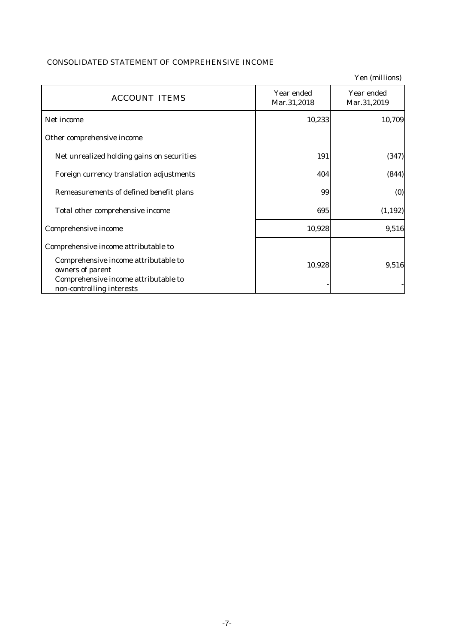## CONSOLIDATED STATEMENT OF COMPREHENSIVE INCOME

|                                                                   |                           | Yen (millions)            |
|-------------------------------------------------------------------|---------------------------|---------------------------|
| <b>ACCOUNT ITEMS</b>                                              | Year ended<br>Mar.31,2018 | Year ended<br>Mar.31,2019 |
| Net income                                                        | 10,233                    | 10,709                    |
| Other comprehensive income                                        |                           |                           |
| Net unrealized holding gains on securities                        | 191                       | (347)                     |
| Foreign currency translation adjustments                          | 404                       | (844)                     |
| Remeasurements of defined benefit plans                           | 99                        | (0)                       |
| Total other comprehensive income                                  | 695                       | (1, 192)                  |
| Comprehensive income                                              | 10,928                    | 9,516                     |
| Comprehensive income attributable to                              |                           |                           |
| Comprehensive income attributable to<br>owners of parent          | 10,928                    | 9,516                     |
| Comprehensive income attributable to<br>non-controlling interests |                           |                           |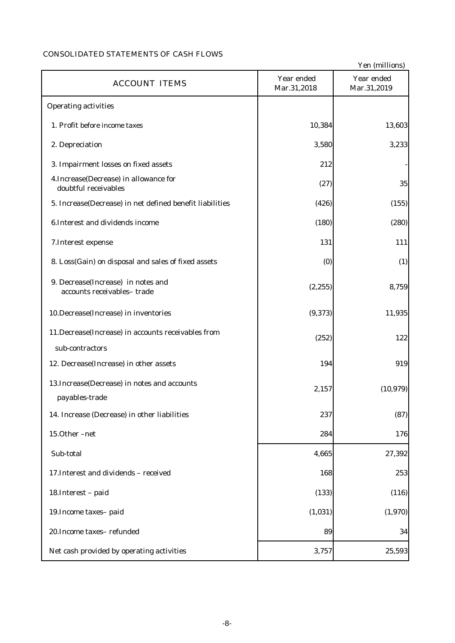## CONSOLIDATED STATEMENTS OF CASH FLOWS

|                                                                  |                           | Yen (millions)            |
|------------------------------------------------------------------|---------------------------|---------------------------|
| <b>ACCOUNT ITEMS</b>                                             | Year ended<br>Mar.31,2018 | Year ended<br>Mar.31,2019 |
| <b>Operating activities</b>                                      |                           |                           |
| 1. Profit before income taxes                                    | 10,384                    | 13,603                    |
| 2. Depreciation                                                  | 3,580                     | 3,233                     |
| 3. Impairment losses on fixed assets                             | 212                       |                           |
| 4. Increase (Decrease) in allowance for<br>doubtful receivables  | (27)                      | 35                        |
| 5. Increase(Decrease) in net defined benefit liabilities         | (426)                     | (155)                     |
| 6. Interest and dividends income                                 | (180)                     | (280)                     |
| 7. Interest expense                                              | 131                       | 111                       |
| 8. Loss(Gain) on disposal and sales of fixed assets              | (0)                       | (1)                       |
| 9. Decrease(Increase) in notes and<br>accounts receivables-trade | (2, 255)                  | 8,759                     |
| 10.Decrease(Increase) in inventories                             | (9, 373)                  | 11,935                    |
| 11. Decrease (Increase) in accounts receivables from             | (252)                     | 122                       |
| sub-contractors                                                  |                           |                           |
| 12. Decrease(Increase) in other assets                           | 194                       | 919                       |
| 13. Increase (Decrease) in notes and accounts<br>payables-trade  | 2,157                     | (10, 979)                 |
| 14. Increase (Decrease) in other liabilities                     | 237                       | (87)                      |
| 15.0ther-net                                                     | 284                       | 176                       |
| Sub-total                                                        | 4,665                     | 27,392                    |
| 17. Interest and dividends - received                            | 168                       | 253                       |
| 18. Interest - paid                                              | (133)                     | (116)                     |
| 19. Income taxes-paid                                            | (1,031)                   | (1,970)                   |
| 20. Income taxes-refunded                                        | 89                        | 34                        |
| Net cash provided by operating activities                        | 3,757                     | 25,593                    |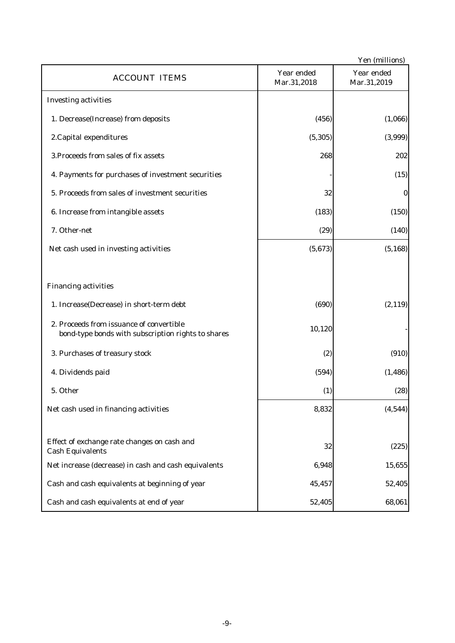|                                                                                                |                           | Yen (millions)            |
|------------------------------------------------------------------------------------------------|---------------------------|---------------------------|
| <b>ACCOUNT ITEMS</b>                                                                           | Year ended<br>Mar.31,2018 | Year ended<br>Mar.31,2019 |
| <b>Investing activities</b>                                                                    |                           |                           |
| 1. Decrease(Increase) from deposits                                                            | (456)                     | (1,066)                   |
| 2. Capital expenditures                                                                        | (5, 305)                  | (3,999)                   |
| 3. Proceeds from sales of fix assets                                                           | 268                       | 202                       |
| 4. Payments for purchases of investment securities                                             |                           | (15)                      |
| 5. Proceeds from sales of investment securities                                                | 32                        | $\bf{0}$                  |
| 6. Increase from intangible assets                                                             | (183)                     | (150)                     |
| 7. Other-net                                                                                   | (29)                      | (140)                     |
| Net cash used in investing activities                                                          | (5,673)                   | (5, 168)                  |
|                                                                                                |                           |                           |
| <b>Financing activities</b>                                                                    |                           |                           |
| 1. Increase(Decrease) in short-term debt                                                       | (690)                     | (2, 119)                  |
| 2. Proceeds from issuance of convertible<br>bond-type bonds with subscription rights to shares | 10,120                    |                           |
| 3. Purchases of treasury stock                                                                 | (2)                       | (910)                     |
| 4. Dividends paid                                                                              | (594)                     | (1, 486)                  |
| 5. Other                                                                                       | (1)                       | (28)                      |
| Net cash used in financing activities                                                          | 8,832                     | (4,544)                   |
|                                                                                                |                           |                           |
| Effect of exchange rate changes on cash and<br><b>Cash Equivalents</b>                         | 32                        | (225)                     |
| Net increase (decrease) in cash and cash equivalents                                           | 6,948                     | 15,655                    |
| Cash and cash equivalents at beginning of year                                                 | 45,457                    | 52,405                    |
| Cash and cash equivalents at end of year                                                       | 52,405                    | 68,061                    |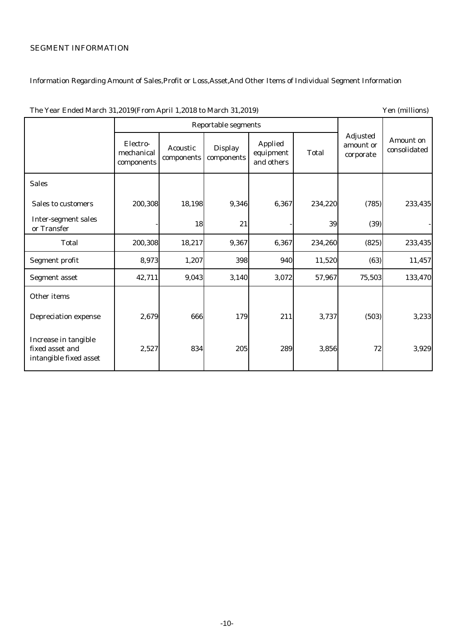## SEGMENT INFORMATION

## Information Regarding Amount of Sales,Profit or Loss,Asset,And Other Items of Individual Segment Information

|                                                                   | <b>Reportable segments</b>           |                               |                              |                                           |              |                                           |                           |
|-------------------------------------------------------------------|--------------------------------------|-------------------------------|------------------------------|-------------------------------------------|--------------|-------------------------------------------|---------------------------|
|                                                                   | Electro-<br>mechanical<br>components | <b>Acoustic</b><br>components | <b>Display</b><br>components | <b>Applied</b><br>equipment<br>and others | <b>Total</b> | <b>Adjusted</b><br>amount or<br>corporate | Amount on<br>consolidated |
| <b>Sales</b>                                                      |                                      |                               |                              |                                           |              |                                           |                           |
| <b>Sales to customers</b>                                         | 200,308                              | 18,198                        | 9,346                        | 6,367                                     | 234,220      | (785)                                     | 233,435                   |
| <b>Inter-segment sales</b><br>or Transfer                         |                                      | 18                            | 21                           |                                           | 39           | (39)                                      |                           |
| <b>Total</b>                                                      | 200,308                              | 18,217                        | 9,367                        | 6,367                                     | 234,260      | (825)                                     | 233,435                   |
| Segment profit                                                    | 8,973                                | 1,207                         | 398                          | 940                                       | 11,520       | (63)                                      | 11,457                    |
| <b>Segment asset</b>                                              | 42,711                               | 9,043                         | 3,140                        | 3,072                                     | 57,967       | 75,503                                    | 133,470                   |
| Other items                                                       |                                      |                               |                              |                                           |              |                                           |                           |
| <b>Depreciation expense</b>                                       | 2,679                                | 666                           | 179                          | 211                                       | 3,737        | (503)                                     | 3,233                     |
| Increase in tangible<br>fixed asset and<br>intangible fixed asset | 2,527                                | 834                           | 205                          | 289                                       | 3,856        | 72                                        | 3,929                     |

#### The Year Ended March 31,2019(From April 1,2018 to March 31,2019) Yen (millions)